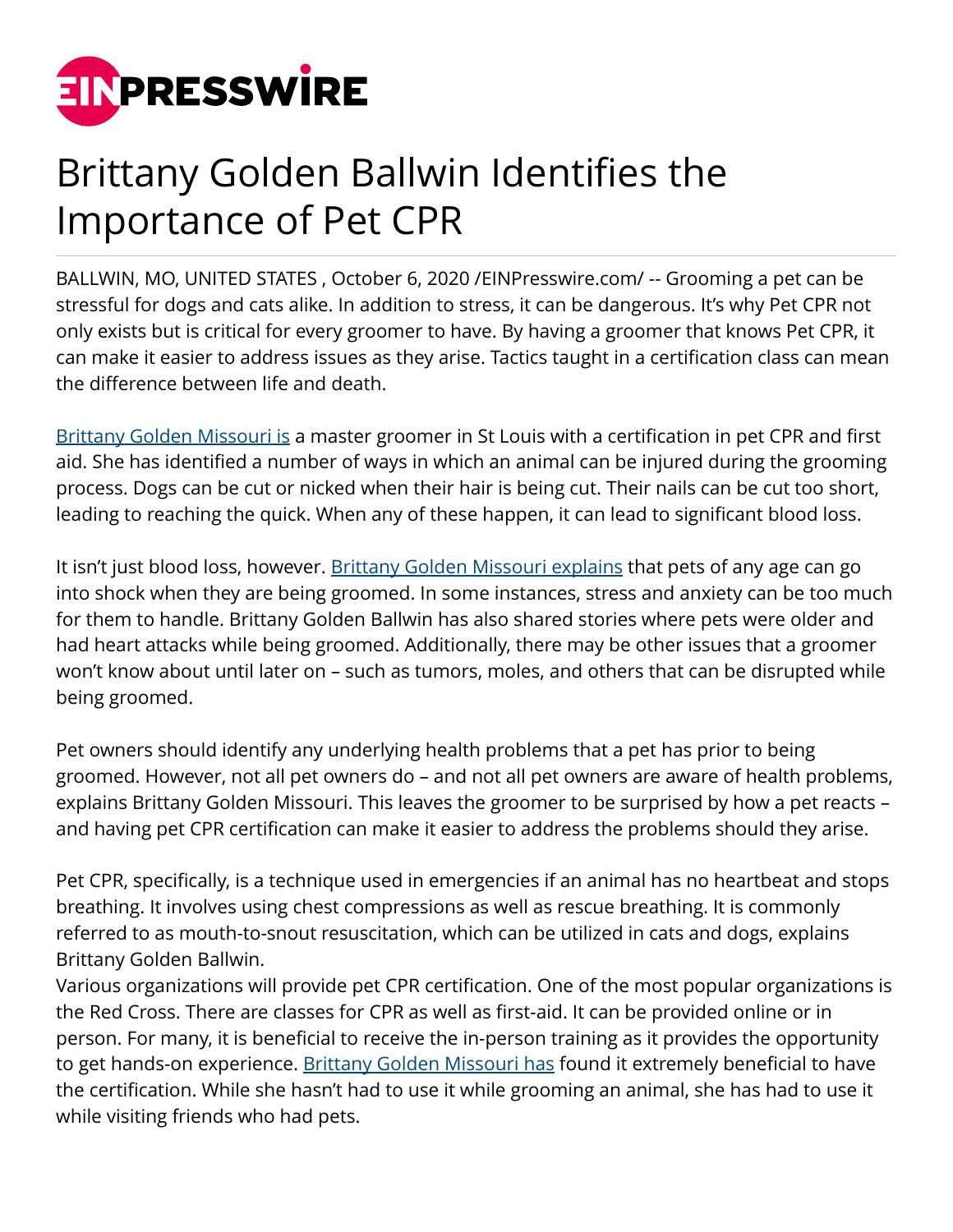

## Brittany Golden Ballwin Identifies the Importance of Pet CPR

BALLWIN, MO, UNITED STATES , October 6, 2020 [/EINPresswire.com/](http://www.einpresswire.com) -- Grooming a pet can be stressful for dogs and cats alike. In addition to stress, it can be dangerous. It's why Pet CPR not only exists but is critical for every groomer to have. By having a groomer that knows Pet CPR, it can make it easier to address issues as they arise. Tactics taught in a certification class can mean the difference between life and death.

[Brittany Golden Missouri is](https://www.wfmj.com/story/42723747/brittany-golden-ballwin-explores-pet-empowerment-and-how-to-get-the-necessary-certification) a master groomer in St Louis with a certification in pet CPR and first aid. She has identified a number of ways in which an animal can be injured during the grooming process. Dogs can be cut or nicked when their hair is being cut. Their nails can be cut too short, leading to reaching the quick. When any of these happen, it can lead to significant blood loss.

It isn't just blood loss, however. [Brittany Golden Missouri explains](https://brittanygoldenmissouri.com/) that pets of any age can go into shock when they are being groomed. In some instances, stress and anxiety can be too much for them to handle. Brittany Golden Ballwin has also shared stories where pets were older and had heart attacks while being groomed. Additionally, there may be other issues that a groomer won't know about until later on – such as tumors, moles, and others that can be disrupted while being groomed.

Pet owners should identify any underlying health problems that a pet has prior to being groomed. However, not all pet owners do – and not all pet owners are aware of health problems, explains Brittany Golden Missouri. This leaves the groomer to be surprised by how a pet reacts – and having pet CPR certification can make it easier to address the problems should they arise.

Pet CPR, specifically, is a technique used in emergencies if an animal has no heartbeat and stops breathing. It involves using chest compressions as well as rescue breathing. It is commonly referred to as mouth-to-snout resuscitation, which can be utilized in cats and dogs, explains Brittany Golden Ballwin.

Various organizations will provide pet CPR certification. One of the most popular organizations is the Red Cross. There are classes for CPR as well as first-aid. It can be provided online or in person. For many, it is beneficial to receive the in-person training as it provides the opportunity to get hands-on experience. [Brittany Golden Missouri has](https://brittanygoldenstlouis.com/) found it extremely beneficial to have the certification. While she hasn't had to use it while grooming an animal, she has had to use it while visiting friends who had pets.